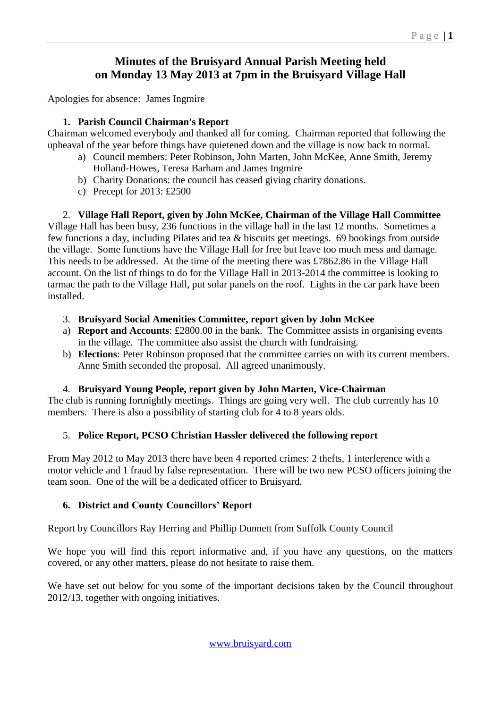# **Minutes of the Bruisyard Annual Parish Meeting held on Monday 13 May 2013 at 7pm in the Bruisyard Village Hall**

Apologies for absence: James Ingmire

### **1. Parish Council Chairman's Report**

Chairman welcomed everybody and thanked all for coming. Chairman reported that following the upheaval of the year before things have quietened down and the village is now back to normal.

- a) Council members: Peter Robinson, John Marten, John McKee, Anne Smith, Jeremy Holland-Howes, Teresa Barham and James Ingmire
- b) Charity Donations: the council has ceased giving charity donations.
- c) Precept for 2013: £2500

2. **Village Hall Report, given by John McKee, Chairman of the Village Hall Committee** Village Hall has been busy, 236 functions in the village hall in the last 12 months. Sometimes a few functions a day, including Pilates and tea & biscuits get meetings. 69 bookings from outside the village. Some functions have the Village Hall for free but leave too much mess and damage. This needs to be addressed. At the time of the meeting there was £7862.86 in the Village Hall account. On the list of things to do for the Village Hall in 2013-2014 the committee is looking to tarmac the path to the Village Hall, put solar panels on the roof. Lights in the car park have been installed.

- 3. **Bruisyard Social Amenities Committee, report given by John McKee**
- a) **Report and Accounts**: £2800.00 in the bank. The Committee assists in organising events in the village. The committee also assist the church with fundraising.
- b) **Elections**: Peter Robinson proposed that the committee carries on with its current members. Anne Smith seconded the proposal. All agreed unanimously.

#### 4. **Bruisyard Young People, report given by John Marten, Vice-Chairman**

The club is running fortnightly meetings. Things are going very well. The club currently has 10 members. There is also a possibility of starting club for 4 to 8 years olds.

## 5. **Police Report, PCSO Christian Hassler delivered the following report**

From May 2012 to May 2013 there have been 4 reported crimes: 2 thefts, 1 interference with a motor vehicle and 1 fraud by false representation. There will be two new PCSO officers joining the team soon. One of the will be a dedicated officer to Bruisyard.

## **6. District and County Councillors' Report**

Report by Councillors Ray Herring and Phillip Dunnett from Suffolk County Council

We hope you will find this report informative and, if you have any questions, on the matters covered, or any other matters, please do not hesitate to raise them.

We have set out below for you some of the important decisions taken by the Council throughout 2012/13, together with ongoing initiatives.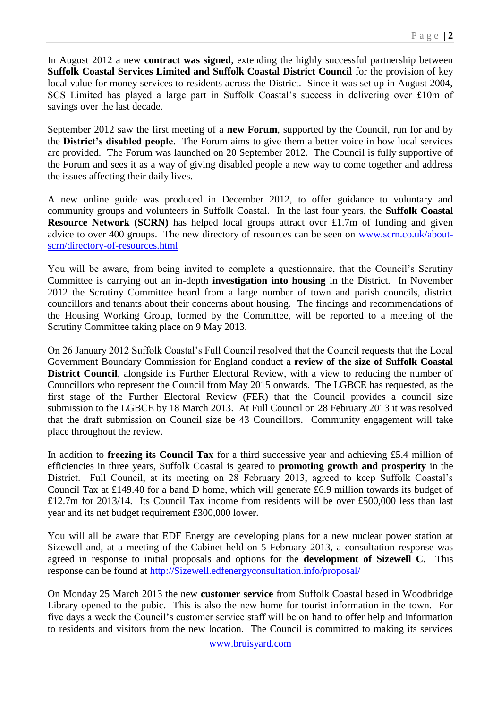In August 2012 a new **contract was signed**, extending the highly successful partnership between **Suffolk Coastal Services Limited and Suffolk Coastal District Council** for the provision of key local value for money services to residents across the District. Since it was set up in August 2004, SCS Limited has played a large part in Suffolk Coastal's success in delivering over £10m of savings over the last decade.

September 2012 saw the first meeting of a **new Forum**, supported by the Council, run for and by the **District's disabled people**. The Forum aims to give them a better voice in how local services are provided. The Forum was launched on 20 September 2012. The Council is fully supportive of the Forum and sees it as a way of giving disabled people a new way to come together and address the issues affecting their daily lives.

A new online guide was produced in December 2012, to offer guidance to voluntary and community groups and volunteers in Suffolk Coastal. In the last four years, the **Suffolk Coastal Resource Network (SCRN)** has helped local groups attract over £1.7m of funding and given advice to over 400 groups. The new directory of resources can be seen on [www.scrn.co.uk/about](http://www.scrn.co.uk/about-scrn/directory-of-resources.html)[scrn/directory-of-resources.html](http://www.scrn.co.uk/about-scrn/directory-of-resources.html) 

You will be aware, from being invited to complete a questionnaire, that the Council's Scrutiny Committee is carrying out an in-depth **investigation into housing** in the District. In November 2012 the Scrutiny Committee heard from a large number of town and parish councils, district councillors and tenants about their concerns about housing. The findings and recommendations of the Housing Working Group, formed by the Committee, will be reported to a meeting of the Scrutiny Committee taking place on 9 May 2013.

On 26 January 2012 Suffolk Coastal's Full Council resolved that the Council requests that the Local Government Boundary Commission for England conduct a **review of the size of Suffolk Coastal District Council**, alongside its Further Electoral Review, with a view to reducing the number of Councillors who represent the Council from May 2015 onwards. The LGBCE has requested, as the first stage of the Further Electoral Review (FER) that the Council provides a council size submission to the LGBCE by 18 March 2013. At Full Council on 28 February 2013 it was resolved that the draft submission on Council size be 43 Councillors. Community engagement will take place throughout the review.

In addition to **freezing its Council Tax** for a third successive year and achieving £5.4 million of efficiencies in three years, Suffolk Coastal is geared to **promoting growth and prosperity** in the District. Full Council, at its meeting on 28 February 2013, agreed to keep Suffolk Coastal's Council Tax at £149.40 for a band D home, which will generate £6.9 million towards its budget of £12.7m for 2013/14. Its Council Tax income from residents will be over £500,000 less than last year and its net budget requirement £300,000 lower.

You will all be aware that EDF Energy are developing plans for a new nuclear power station at Sizewell and, at a meeting of the Cabinet held on 5 February 2013, a consultation response was agreed in response to initial proposals and options for the **development of Sizewell C.** This response can be found at [http://Sizewell.edfenergyconsultation.info/proposal/](http://sizewell.edfenergyconsultation.info/proposal/)

On Monday 25 March 2013 the new **customer service** from Suffolk Coastal based in Woodbridge Library opened to the pubic. This is also the new home for tourist information in the town. For five days a week the Council's customer service staff will be on hand to offer help and information to residents and visitors from the new location. The Council is committed to making its services

www.bruisyard.com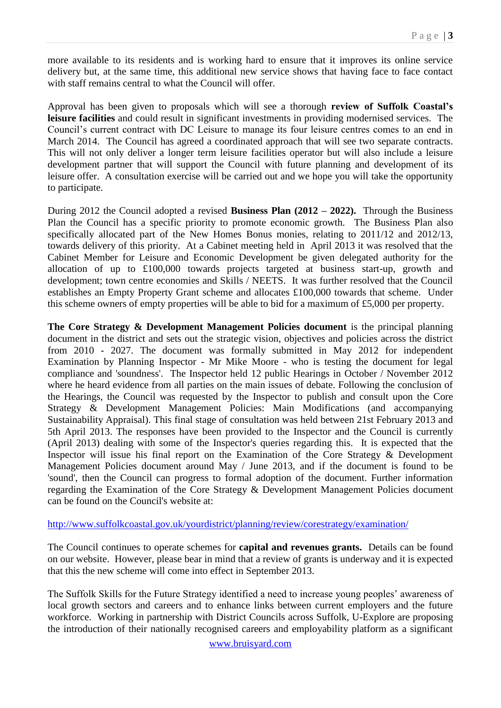more available to its residents and is working hard to ensure that it improves its online service delivery but, at the same time, this additional new service shows that having face to face contact with staff remains central to what the Council will offer.

Approval has been given to proposals which will see a thorough **review of Suffolk Coastal's leisure facilities** and could result in significant investments in providing modernised services. The Council's current contract with DC Leisure to manage its four leisure centres comes to an end in March 2014. The Council has agreed a coordinated approach that will see two separate contracts. This will not only deliver a longer term leisure facilities operator but will also include a leisure development partner that will support the Council with future planning and development of its leisure offer. A consultation exercise will be carried out and we hope you will take the opportunity to participate.

During 2012 the Council adopted a revised **Business Plan (2012 – 2022).** Through the Business Plan the Council has a specific priority to promote economic growth. The Business Plan also specifically allocated part of the New Homes Bonus monies, relating to 2011/12 and 2012/13, towards delivery of this priority. At a Cabinet meeting held in April 2013 it was resolved that the Cabinet Member for Leisure and Economic Development be given delegated authority for the allocation of up to £100,000 towards projects targeted at business start-up, growth and development; town centre economies and Skills / NEETS. It was further resolved that the Council establishes an Empty Property Grant scheme and allocates £100,000 towards that scheme. Under this scheme owners of empty properties will be able to bid for a maximum of £5,000 per property.

**The Core Strategy & Development Management Policies document** is the principal planning document in the district and sets out the strategic vision, objectives and policies across the district from 2010 - 2027. The document was formally submitted in May 2012 for independent Examination by Planning Inspector - Mr Mike Moore - who is testing the document for legal compliance and 'soundness'. The Inspector held 12 public Hearings in October / November 2012 where he heard evidence from all parties on the main issues of debate. Following the conclusion of the Hearings, the Council was requested by the Inspector to publish and consult upon the Core Strategy & Development Management Policies: Main Modifications (and accompanying Sustainability Appraisal). This final stage of consultation was held between 21st February 2013 and 5th April 2013. The responses have been provided to the Inspector and the Council is currently (April 2013) dealing with some of the Inspector's queries regarding this. It is expected that the Inspector will issue his final report on the Examination of the Core Strategy & Development Management Policies document around May / June 2013, and if the document is found to be 'sound', then the Council can progress to formal adoption of the document. Further information regarding the Examination of the Core Strategy & Development Management Policies document can be found on the Council's website at:

#### <http://www.suffolkcoastal.gov.uk/yourdistrict/planning/review/corestrategy/examination/>

The Council continues to operate schemes for **capital and revenues grants.** Details can be found on our website. However, please bear in mind that a review of grants is underway and it is expected that this the new scheme will come into effect in September 2013.

The Suffolk Skills for the Future Strategy identified a need to increase young peoples' awareness of local growth sectors and careers and to enhance links between current employers and the future workforce. Working in partnership with District Councils across Suffolk, U-Explore are proposing the introduction of their nationally recognised careers and employability platform as a significant